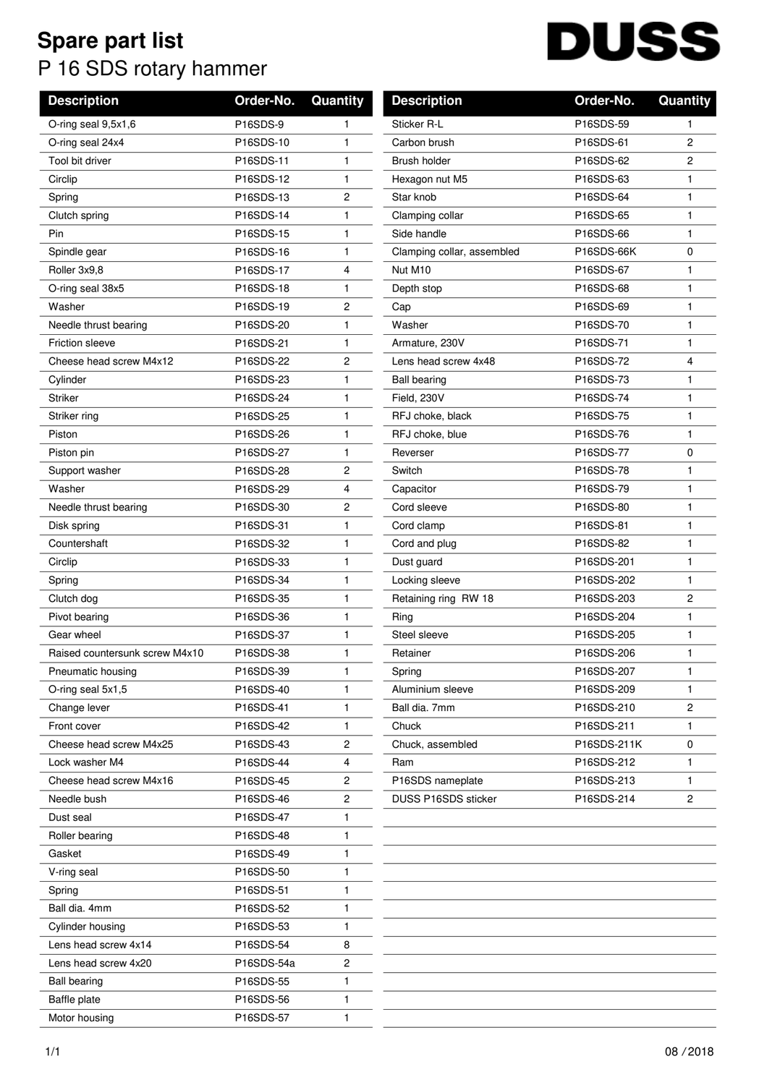## **Spare part list** P 16 SDS rotary hammer

## **DUSS**  $\overline{\phantom{a}}$

| <b>Description</b>             | Order-No.  | Quantity       | <b>Description</b>         | Order-No.   | Quantity                |
|--------------------------------|------------|----------------|----------------------------|-------------|-------------------------|
| O-ring seal 9,5x1,6            | P16SDS-9   | 1              | Sticker R-L                | P16SDS-59   | 1                       |
| O-ring seal 24x4               | P16SDS-10  | 1              | Carbon brush               | P16SDS-61   | 2                       |
| Tool bit driver                | P16SDS-11  | 1              | Brush holder               | P16SDS-62   | $\overline{\mathbf{c}}$ |
| Circlip                        | P16SDS-12  | 1              | Hexagon nut M5             | P16SDS-63   | $\mathbf{1}$            |
| Spring                         | P16SDS-13  | 2              | Star knob                  | P16SDS-64   | $\mathbf{1}$            |
| Clutch spring                  | P16SDS-14  | 1              | Clamping collar            | P16SDS-65   | 1                       |
| Pin                            | P16SDS-15  | 1              | Side handle                | P16SDS-66   | $\mathbf{1}$            |
| Spindle gear                   | P16SDS-16  | 1              | Clamping collar, assembled | P16SDS-66K  | 0                       |
| Roller 3x9,8                   | P16SDS-17  | 4              | Nut M10                    | P16SDS-67   | 1                       |
| O-ring seal 38x5               | P16SDS-18  | 1              | Depth stop                 | P16SDS-68   | $\mathbf{1}$            |
| Washer                         | P16SDS-19  | $\overline{c}$ | Cap                        | P16SDS-69   | $\mathbf{1}$            |
| Needle thrust bearing          | P16SDS-20  | 1              | Washer                     | P16SDS-70   | $\mathbf{1}$            |
| <b>Friction sleeve</b>         | P16SDS-21  | $\mathbf{1}$   | Armature, 230V             | P16SDS-71   | 1                       |
| Cheese head screw M4x12        | P16SDS-22  | 2              | Lens head screw 4x48       | P16SDS-72   | 4                       |
| Cylinder                       | P16SDS-23  | 1              | <b>Ball bearing</b>        | P16SDS-73   | $\mathbf{1}$            |
| <b>Striker</b>                 | P16SDS-24  | 1              | Field, 230V                | P16SDS-74   | 1                       |
| Striker ring                   | P16SDS-25  | 1              | RFJ choke, black           | P16SDS-75   | $\mathbf{1}$            |
| Piston                         | P16SDS-26  | 1              | RFJ choke, blue            | P16SDS-76   | $\mathbf{1}$            |
| Piston pin                     | P16SDS-27  | 1              | Reverser                   | P16SDS-77   | 0                       |
| Support washer                 | P16SDS-28  | 2              | Switch                     | P16SDS-78   | 1                       |
| Washer                         | P16SDS-29  | 4              | Capacitor                  | P16SDS-79   | $\mathbf{1}$            |
| Needle thrust bearing          | P16SDS-30  | 2              | Cord sleeve                | P16SDS-80   | $\mathbf{1}$            |
| Disk spring                    | P16SDS-31  | 1              | Cord clamp                 | P16SDS-81   | $\mathbf{1}$            |
| Countershaft                   | P16SDS-32  | 1              | Cord and plug              | P16SDS-82   | $\mathbf{1}$            |
| Circlip                        | P16SDS-33  | 1              | Dust guard                 | P16SDS-201  | $\mathbf{1}$            |
| Spring                         | P16SDS-34  | 1              | Locking sleeve             | P16SDS-202  | $\mathbf{1}$            |
| Clutch dog                     | P16SDS-35  | 1              | Retaining ring RW 18       | P16SDS-203  | $\overline{c}$          |
| Pivot bearing                  | P16SDS-36  | 1              | Ring                       | P16SDS-204  | $\mathbf{1}$            |
| Gear wheel                     | P16SDS-37  | 1              | Steel sleeve               | P16SDS-205  | $\mathbf{1}$            |
| Raised countersunk screw M4x10 | P16SDS-38  | $\mathbf{1}$   | Retainer                   | P16SDS-206  | $\mathbf{1}$            |
| Pneumatic housing              | P16SDS-39  | 1              | Spring                     | P16SDS-207  | 1                       |
| O-ring seal 5x1,5              | P16SDS-40  | 1              | Aluminium sleeve           | P16SDS-209  | -1                      |
| Change lever                   | P16SDS-41  | 1              | Ball dia. 7mm              | P16SDS-210  | 2                       |
| Front cover                    | P16SDS-42  | 1              | Chuck                      | P16SDS-211  | 1                       |
| Cheese head screw M4x25        | P16SDS-43  | 2              | Chuck, assembled           | P16SDS-211K | $\mathbf 0$             |
| Lock washer M4                 | P16SDS-44  | 4              | Ram                        | P16SDS-212  | 1                       |
| Cheese head screw M4x16        | P16SDS-45  | 2              | P16SDS nameplate           | P16SDS-213  | 1.                      |
| Needle bush                    | P16SDS-46  | 2              | DUSS P16SDS sticker        | P16SDS-214  | $\overline{2}$          |
| Dust seal                      | P16SDS-47  | 1              |                            |             |                         |
| Roller bearing                 | P16SDS-48  | 1              |                            |             |                         |
| Gasket                         | P16SDS-49  | 1              |                            |             |                         |
| V-ring seal                    | P16SDS-50  | 1              |                            |             |                         |
| Spring                         | P16SDS-51  | 1              |                            |             |                         |
| Ball dia. 4mm                  | P16SDS-52  | 1              |                            |             |                         |
| Cylinder housing               | P16SDS-53  | 1              |                            |             |                         |
| Lens head screw 4x14           | P16SDS-54  | 8              |                            |             |                         |
| Lens head screw 4x20           | P16SDS-54a | 2              |                            |             |                         |
| <b>Ball bearing</b>            | P16SDS-55  | 1              |                            |             |                         |
| <b>Baffle plate</b>            | P16SDS-56  | 1              |                            |             |                         |
| Motor housing                  | P16SDS-57  | 1              |                            |             |                         |